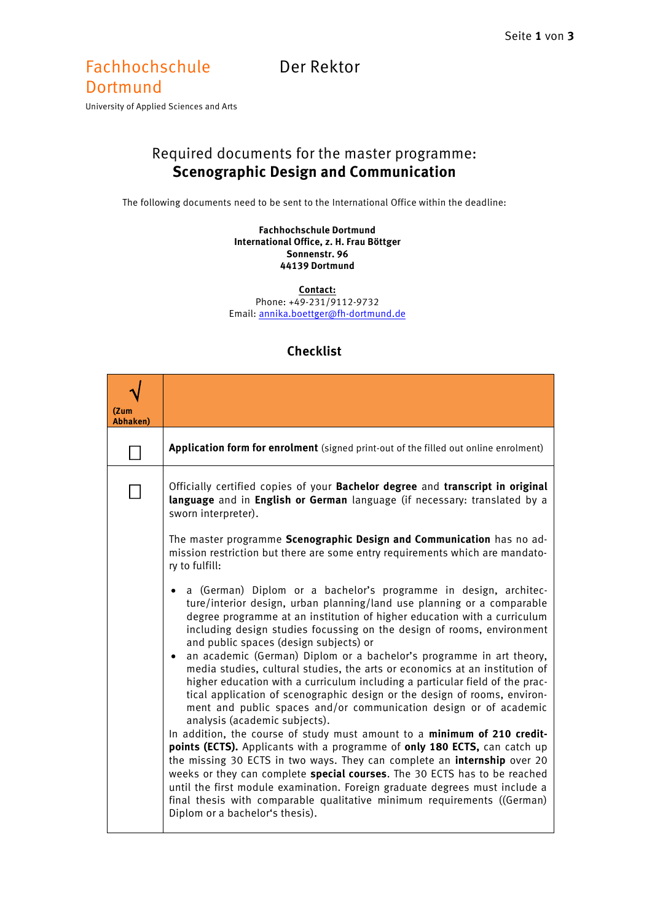## Fachhochschule Der Rektor

## **Dortmund**

University of Applied Sciences and Arts

## Required documents for the master programme: **Scenographic Design and Communication**

The following documents need to be sent to the International Office within the deadline:

**Fachhochschule Dortmund International Office, z. H. Frau Böttger Sonnenstr. 96 44139 Dortmund**

**Contact:**

Phone: +49-231/9112-9732 Email[: annika.boettger@fh-dortmund.de](mailto:annika.boettger@fh-dortmund.de)

| (Zum<br><b>Abhaken</b> ) |                                                                                                                                                                                                                                                                                                                                                                                                                                                                                                                    |
|--------------------------|--------------------------------------------------------------------------------------------------------------------------------------------------------------------------------------------------------------------------------------------------------------------------------------------------------------------------------------------------------------------------------------------------------------------------------------------------------------------------------------------------------------------|
|                          | Application form for enrolment (signed print-out of the filled out online enrolment)                                                                                                                                                                                                                                                                                                                                                                                                                               |
|                          | Officially certified copies of your Bachelor degree and transcript in original<br>language and in English or German language (if necessary: translated by a<br>sworn interpreter).                                                                                                                                                                                                                                                                                                                                 |
|                          | The master programme Scenographic Design and Communication has no ad-<br>mission restriction but there are some entry requirements which are mandato-<br>ry to fulfill:                                                                                                                                                                                                                                                                                                                                            |
|                          | a (German) Diplom or a bachelor's programme in design, architec-<br>ture/interior design, urban planning/land use planning or a comparable<br>degree programme at an institution of higher education with a curriculum<br>including design studies focussing on the design of rooms, environment<br>and public spaces (design subjects) or                                                                                                                                                                         |
|                          | an academic (German) Diplom or a bachelor's programme in art theory,<br>$\bullet$<br>media studies, cultural studies, the arts or economics at an institution of<br>higher education with a curriculum including a particular field of the prac-<br>tical application of scenographic design or the design of rooms, environ-<br>ment and public spaces and/or communication design or of academic<br>analysis (academic subjects).                                                                                |
|                          | In addition, the course of study must amount to a minimum of 210 credit-<br>points (ECTS). Applicants with a programme of only 180 ECTS, can catch up<br>the missing 30 ECTS in two ways. They can complete an <i>internship</i> over 20<br>weeks or they can complete special courses. The 30 ECTS has to be reached<br>until the first module examination. Foreign graduate degrees must include a<br>final thesis with comparable qualitative minimum requirements ((German)<br>Diplom or a bachelor's thesis). |

## **Checklist**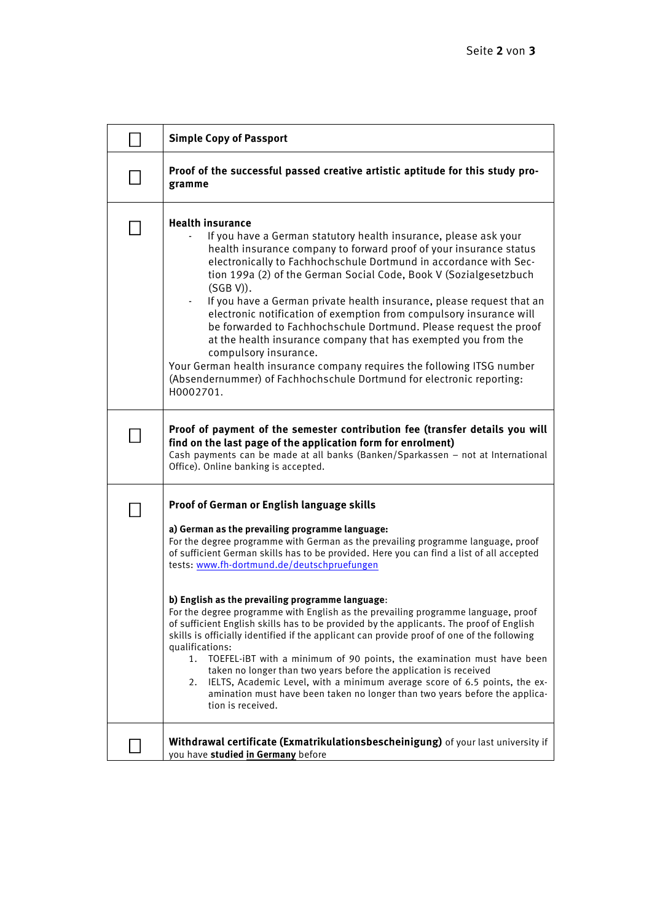| <b>Simple Copy of Passport</b>                                                                                                                                                                                                                                                                                                                                                                                                                                                                                                                                                                                                                                                                                                                                                                                                                                                                                                                                                                                                 |
|--------------------------------------------------------------------------------------------------------------------------------------------------------------------------------------------------------------------------------------------------------------------------------------------------------------------------------------------------------------------------------------------------------------------------------------------------------------------------------------------------------------------------------------------------------------------------------------------------------------------------------------------------------------------------------------------------------------------------------------------------------------------------------------------------------------------------------------------------------------------------------------------------------------------------------------------------------------------------------------------------------------------------------|
| Proof of the successful passed creative artistic aptitude for this study pro-<br>gramme                                                                                                                                                                                                                                                                                                                                                                                                                                                                                                                                                                                                                                                                                                                                                                                                                                                                                                                                        |
| <b>Health insurance</b><br>If you have a German statutory health insurance, please ask your<br>health insurance company to forward proof of your insurance status<br>electronically to Fachhochschule Dortmund in accordance with Sec-<br>tion 199a (2) of the German Social Code, Book V (Sozialgesetzbuch<br>$(SGB V)$ ).<br>If you have a German private health insurance, please request that an<br>electronic notification of exemption from compulsory insurance will<br>be forwarded to Fachhochschule Dortmund. Please request the proof<br>at the health insurance company that has exempted you from the<br>compulsory insurance.<br>Your German health insurance company requires the following ITSG number<br>(Absendernummer) of Fachhochschule Dortmund for electronic reporting:<br>H0002701.                                                                                                                                                                                                                   |
| Proof of payment of the semester contribution fee (transfer details you will<br>find on the last page of the application form for enrolment)<br>Cash payments can be made at all banks (Banken/Sparkassen - not at International<br>Office). Online banking is accepted.                                                                                                                                                                                                                                                                                                                                                                                                                                                                                                                                                                                                                                                                                                                                                       |
| Proof of German or English language skills<br>a) German as the prevailing programme language:<br>For the degree programme with German as the prevailing programme language, proof<br>of sufficient German skills has to be provided. Here you can find a list of all accepted<br>tests: www.fh-dortmund.de/deutschpruefungen<br>b) English as the prevailing programme language:<br>For the degree programme with English as the prevailing programme language, proof<br>of sufficient English skills has to be provided by the applicants. The proof of English<br>skills is officially identified if the applicant can provide proof of one of the following<br>qualifications:<br>TOEFEL-iBT with a minimum of 90 points, the examination must have been<br>1.<br>taken no longer than two years before the application is received<br>IELTS, Academic Level, with a minimum average score of 6.5 points, the ex-<br>2.<br>amination must have been taken no longer than two years before the applica-<br>tion is received. |
| Withdrawal certificate (Exmatrikulationsbescheinigung) of your last university if<br>you have studied in Germany before                                                                                                                                                                                                                                                                                                                                                                                                                                                                                                                                                                                                                                                                                                                                                                                                                                                                                                        |